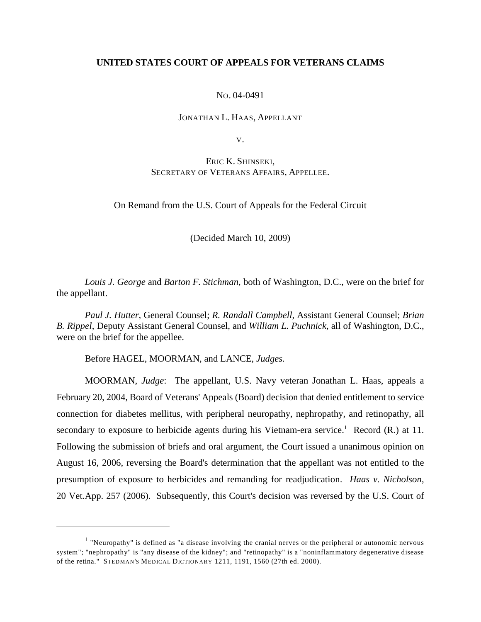## **UNITED STATES COURT OF APPEALS FOR VETERANS CLAIMS**

## NO. 04-0491

### JONATHAN L. HAAS, APPELLANT

V.

# ERIC K. SHINSEKI, SECRETARY OF VETERANS AFFAIRS, APPELLEE.

On Remand from the U.S. Court of Appeals for the Federal Circuit

(Decided March 10, 2009)

*Louis J. George* and *Barton F. Stichman*, both of Washington, D.C., were on the brief for the appellant.

*Paul J. Hutter,* General Counsel; *R. Randall Campbell*, Assistant General Counsel; *Brian B. Rippel*, Deputy Assistant General Counsel, and *William L. Puchnick*, all of Washington, D.C., were on the brief for the appellee.

Before HAGEL, MOORMAN, and LANCE, *Judges.*

MOORMAN, *Judge*: The appellant, U.S. Navy veteran Jonathan L. Haas, appeals a February 20, 2004, Board of Veterans' Appeals (Board) decision that denied entitlement to service connection for diabetes mellitus, with peripheral neuropathy, nephropathy, and retinopathy, all secondary to exposure to herbicide agents during his Vietnam-era service.<sup>1</sup> Record (R.) at 11. Following the submission of briefs and oral argument, the Court issued a unanimous opinion on August 16, 2006, reversing the Board's determination that the appellant was not entitled to the presumption of exposure to herbicides and remanding for readjudication. *Haas v. Nicholson*, 20 Vet.App. 257 (2006). Subsequently, this Court's decision was reversed by the U.S. Court of

 $<sup>1</sup>$  "Neuropathy" is defined as "a disease involving the cranial nerves or the peripheral or autonomic nervous</sup> system"; "nephropathy" is "any disease of the kidney"; and "retinopathy" is a "noninflammatory degenerative disease of the retina." STEDMAN'S MEDICAL DICTIONARY 1211, 1191, 1560 (27th ed. 2000).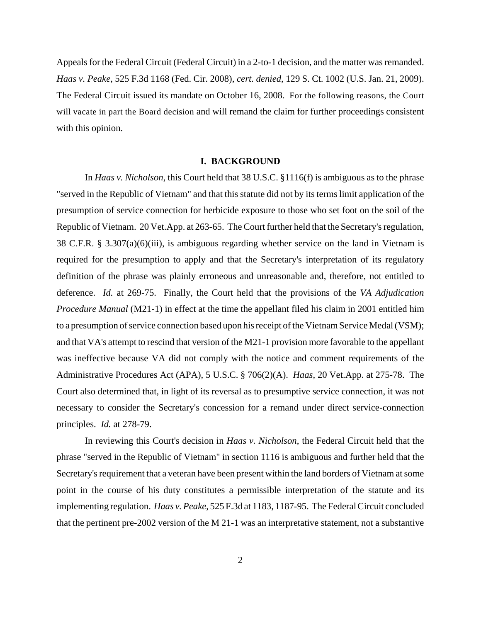Appeals for the Federal Circuit (Federal Circuit) in a 2-to-1 decision, and the matter was remanded. *Haas v. Peake*, 525 F.3d 1168 (Fed. Cir. 2008), *cert. denied*, 129 S. Ct. 1002 (U.S. Jan. 21, 2009). The Federal Circuit issued its mandate on October 16, 2008. For the following reasons, the Court will vacate in part the Board decision and will remand the claim for further proceedings consistent with this opinion.

#### **I. BACKGROUND**

In *Haas v. Nicholson*, this Court held that 38 U.S.C. §1116(f) is ambiguous as to the phrase "served in the Republic of Vietnam" and that this statute did not by its terms limit application of the presumption of service connection for herbicide exposure to those who set foot on the soil of the Republic of Vietnam. 20 Vet.App. at 263-65. The Court further held that the Secretary's regulation, 38 C.F.R. § 3.307(a)(6)(iii), is ambiguous regarding whether service on the land in Vietnam is required for the presumption to apply and that the Secretary's interpretation of its regulatory definition of the phrase was plainly erroneous and unreasonable and, therefore, not entitled to deference. *Id.* at 269-75. Finally, the Court held that the provisions of the *VA Adjudication Procedure Manual* (M21-1) in effect at the time the appellant filed his claim in 2001 entitled him to a presumption of service connection based upon his receipt of the Vietnam Service Medal (VSM); and that VA's attempt to rescind that version of the M21-1 provision more favorable to the appellant was ineffective because VA did not comply with the notice and comment requirements of the Administrative Procedures Act (APA), 5 U.S.C. § 706(2)(A). *Haas*, 20 Vet.App. at 275-78. The Court also determined that, in light of its reversal as to presumptive service connection, it was not necessary to consider the Secretary's concession for a remand under direct service-connection principles. *Id.* at 278-79.

In reviewing this Court's decision in *Haas v. Nicholson*, the Federal Circuit held that the phrase "served in the Republic of Vietnam" in section 1116 is ambiguous and further held that the Secretary's requirement that a veteran have been present within the land borders of Vietnam at some point in the course of his duty constitutes a permissible interpretation of the statute and its implementing regulation. *Haas v. Peake*, 525 F.3d at 1183, 1187-95. The Federal Circuit concluded that the pertinent pre-2002 version of the M 21-1 was an interpretative statement, not a substantive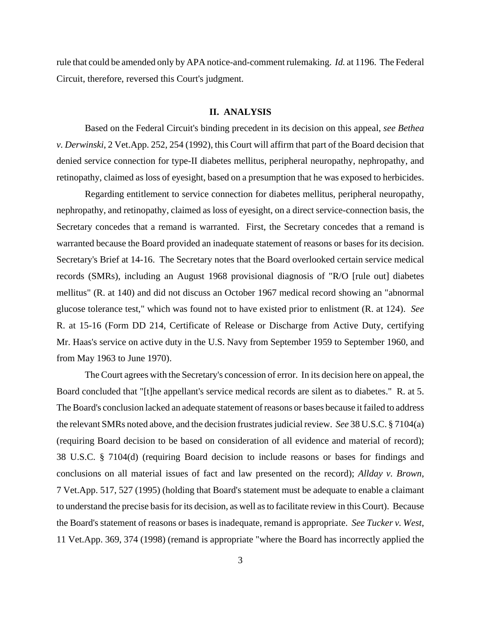rule that could be amended only by APA notice-and-comment rulemaking. *Id.* at 1196. The Federal Circuit, therefore, reversed this Court's judgment.

### **II. ANALYSIS**

Based on the Federal Circuit's binding precedent in its decision on this appeal, *see Bethea v. Derwinski*, 2 Vet.App. 252, 254 (1992), this Court will affirm that part of the Board decision that denied service connection for type-II diabetes mellitus, peripheral neuropathy, nephropathy, and retinopathy, claimed as loss of eyesight, based on a presumption that he was exposed to herbicides.

Regarding entitlement to service connection for diabetes mellitus, peripheral neuropathy, nephropathy, and retinopathy, claimed as loss of eyesight, on a direct service-connection basis, the Secretary concedes that a remand is warranted. First, the Secretary concedes that a remand is warranted because the Board provided an inadequate statement of reasons or bases for its decision. Secretary's Brief at 14-16. The Secretary notes that the Board overlooked certain service medical records (SMRs), including an August 1968 provisional diagnosis of "R/O [rule out] diabetes mellitus" (R. at 140) and did not discuss an October 1967 medical record showing an "abnormal glucose tolerance test," which was found not to have existed prior to enlistment (R. at 124). *See* R. at 15-16 (Form DD 214, Certificate of Release or Discharge from Active Duty, certifying Mr. Haas's service on active duty in the U.S. Navy from September 1959 to September 1960, and from May 1963 to June 1970).

The Court agrees with the Secretary's concession of error. In its decision here on appeal, the Board concluded that "[t]he appellant's service medical records are silent as to diabetes." R. at 5. The Board's conclusion lacked an adequate statement of reasons or bases because it failed to address the relevant SMRs noted above, and the decision frustrates judicial review. *See* 38 U.S.C. § 7104(a) (requiring Board decision to be based on consideration of all evidence and material of record); 38 U.S.C. § 7104(d) (requiring Board decision to include reasons or bases for findings and conclusions on all material issues of fact and law presented on the record); *Allday v. Brown*, 7 Vet.App. 517, 527 (1995) (holding that Board's statement must be adequate to enable a claimant to understand the precise basis for its decision, as well as to facilitate review in this Court). Because the Board's statement of reasons or bases is inadequate, remand is appropriate. *See Tucker v. West*, 11 Vet.App. 369, 374 (1998) (remand is appropriate "where the Board has incorrectly applied the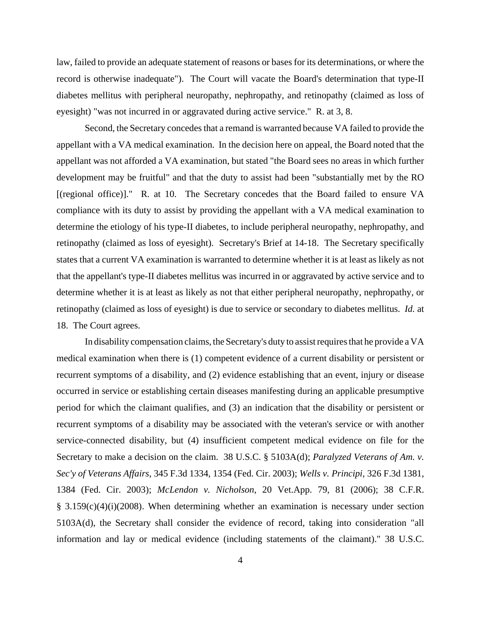law, failed to provide an adequate statement of reasons or bases for its determinations, or where the record is otherwise inadequate"). The Court will vacate the Board's determination that type-II diabetes mellitus with peripheral neuropathy, nephropathy, and retinopathy (claimed as loss of eyesight) "was not incurred in or aggravated during active service." R. at 3, 8.

Second, the Secretary concedes that a remand is warranted because VA failed to provide the appellant with a VA medical examination. In the decision here on appeal, the Board noted that the appellant was not afforded a VA examination, but stated "the Board sees no areas in which further development may be fruitful" and that the duty to assist had been "substantially met by the RO [(regional office)]." R. at 10. The Secretary concedes that the Board failed to ensure VA compliance with its duty to assist by providing the appellant with a VA medical examination to determine the etiology of his type-II diabetes, to include peripheral neuropathy, nephropathy, and retinopathy (claimed as loss of eyesight). Secretary's Brief at 14-18. The Secretary specifically states that a current VA examination is warranted to determine whether it is at least as likely as not that the appellant's type-II diabetes mellitus was incurred in or aggravated by active service and to determine whether it is at least as likely as not that either peripheral neuropathy, nephropathy, or retinopathy (claimed as loss of eyesight) is due to service or secondary to diabetes mellitus. *Id.* at 18. The Court agrees.

In disability compensation claims, the Secretary's duty to assist requires that he provide a VA medical examination when there is (1) competent evidence of a current disability or persistent or recurrent symptoms of a disability, and (2) evidence establishing that an event, injury or disease occurred in service or establishing certain diseases manifesting during an applicable presumptive period for which the claimant qualifies, and (3) an indication that the disability or persistent or recurrent symptoms of a disability may be associated with the veteran's service or with another service-connected disability, but (4) insufficient competent medical evidence on file for the Secretary to make a decision on the claim. 38 U.S.C. § 5103A(d); *Paralyzed Veterans of Am. v. Sec'y of Veterans Affairs*, 345 F.3d 1334, 1354 (Fed. Cir. 2003); *Wells v. Principi*, 326 F.3d 1381, 1384 (Fed. Cir. 2003); *McLendon v. Nicholson*, 20 Vet.App. 79, 81 (2006); 38 C.F.R. § 3.159(c)(4)(i)(2008). When determining whether an examination is necessary under section 5103A(d), the Secretary shall consider the evidence of record, taking into consideration "all information and lay or medical evidence (including statements of the claimant)." 38 U.S.C.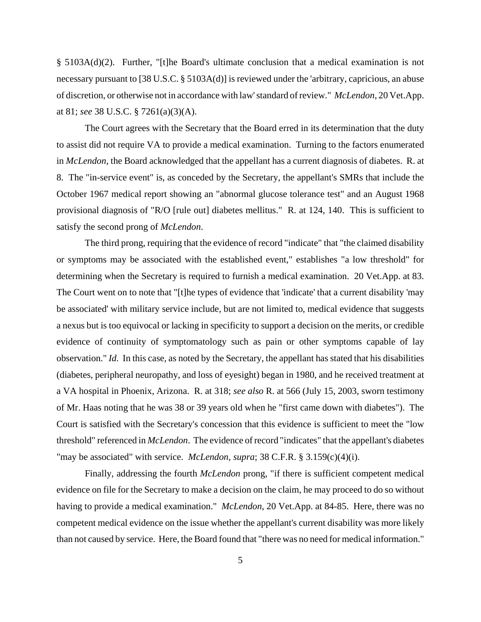§ 5103A(d)(2). Further, "[t]he Board's ultimate conclusion that a medical examination is not necessary pursuant to [38 U.S.C. § 5103A(d)] is reviewed under the 'arbitrary, capricious, an abuse of discretion, or otherwise not in accordance with law' standard of review." *McLendon*, 20 Vet.App. at 81; *see* 38 U.S.C. § 7261(a)(3)(A).

The Court agrees with the Secretary that the Board erred in its determination that the duty to assist did not require VA to provide a medical examination. Turning to the factors enumerated in *McLendon*, the Board acknowledged that the appellant has a current diagnosis of diabetes. R. at 8. The "in-service event" is, as conceded by the Secretary, the appellant's SMRs that include the October 1967 medical report showing an "abnormal glucose tolerance test" and an August 1968 provisional diagnosis of "R/O [rule out] diabetes mellitus." R. at 124, 140. This is sufficient to satisfy the second prong of *McLendon*.

The third prong, requiring that the evidence of record "indicate" that "the claimed disability or symptoms may be associated with the established event," establishes "a low threshold" for determining when the Secretary is required to furnish a medical examination. 20 Vet.App. at 83. The Court went on to note that "[t]he types of evidence that 'indicate' that a current disability 'may be associated' with military service include, but are not limited to, medical evidence that suggests a nexus but is too equivocal or lacking in specificity to support a decision on the merits, or credible evidence of continuity of symptomatology such as pain or other symptoms capable of lay observation." *Id.* In this case, as noted by the Secretary, the appellant has stated that his disabilities (diabetes, peripheral neuropathy, and loss of eyesight) began in 1980, and he received treatment at a VA hospital in Phoenix, Arizona. R. at 318; *see also* R. at 566 (July 15, 2003, sworn testimony of Mr. Haas noting that he was 38 or 39 years old when he "first came down with diabetes"). The Court is satisfied with the Secretary's concession that this evidence is sufficient to meet the "low threshold" referenced in *McLendon*. The evidence of record "indicates" that the appellant's diabetes "may be associated" with service. *McLendon*, *supra*; 38 C.F.R. § 3.159(c)(4)(i).

Finally, addressing the fourth *McLendon* prong, "if there is sufficient competent medical evidence on file for the Secretary to make a decision on the claim, he may proceed to do so without having to provide a medical examination." *McLendon*, 20 Vet.App. at 84-85. Here, there was no competent medical evidence on the issue whether the appellant's current disability was more likely than not caused by service. Here, the Board found that "there was no need for medical information."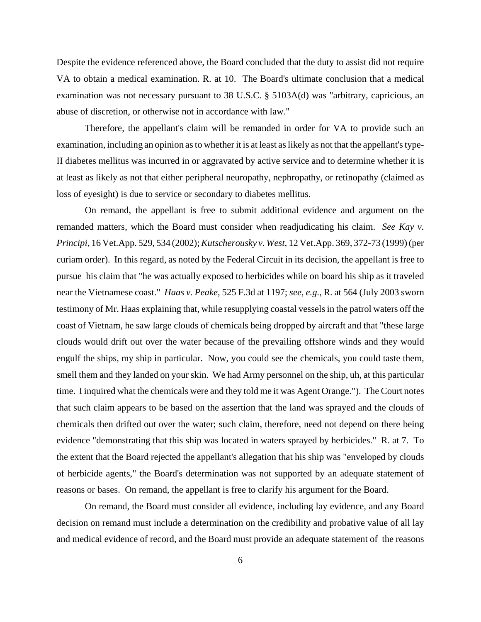Despite the evidence referenced above, the Board concluded that the duty to assist did not require VA to obtain a medical examination. R. at 10. The Board's ultimate conclusion that a medical examination was not necessary pursuant to 38 U.S.C. § 5103A(d) was "arbitrary, capricious, an abuse of discretion, or otherwise not in accordance with law."

Therefore, the appellant's claim will be remanded in order for VA to provide such an examination, including an opinion as to whether it is at least as likely as not that the appellant's type-II diabetes mellitus was incurred in or aggravated by active service and to determine whether it is at least as likely as not that either peripheral neuropathy, nephropathy, or retinopathy (claimed as loss of eyesight) is due to service or secondary to diabetes mellitus.

On remand, the appellant is free to submit additional evidence and argument on the remanded matters, which the Board must consider when readjudicating his claim. *See Kay v. Principi*, 16 Vet.App. 529, 534 (2002); *Kutscherousky v. West*, 12 Vet.App. 369, 372-73 (1999) (per curiam order). In this regard, as noted by the Federal Circuit in its decision, the appellant is free to pursue his claim that "he was actually exposed to herbicides while on board his ship as it traveled near the Vietnamese coast." *Haas v. Peake*, 525 F.3d at 1197; *see*, *e.g.*, R. at 564 (July 2003 sworn testimony of Mr. Haas explaining that, while resupplying coastal vessels in the patrol waters off the coast of Vietnam, he saw large clouds of chemicals being dropped by aircraft and that "these large clouds would drift out over the water because of the prevailing offshore winds and they would engulf the ships, my ship in particular. Now, you could see the chemicals, you could taste them, smell them and they landed on your skin. We had Army personnel on the ship, uh, at this particular time. I inquired what the chemicals were and they told me it was Agent Orange."). The Court notes that such claim appears to be based on the assertion that the land was sprayed and the clouds of chemicals then drifted out over the water; such claim, therefore, need not depend on there being evidence "demonstrating that this ship was located in waters sprayed by herbicides." R. at 7. To the extent that the Board rejected the appellant's allegation that his ship was "enveloped by clouds of herbicide agents," the Board's determination was not supported by an adequate statement of reasons or bases. On remand, the appellant is free to clarify his argument for the Board.

On remand, the Board must consider all evidence, including lay evidence, and any Board decision on remand must include a determination on the credibility and probative value of all lay and medical evidence of record, and the Board must provide an adequate statement of the reasons